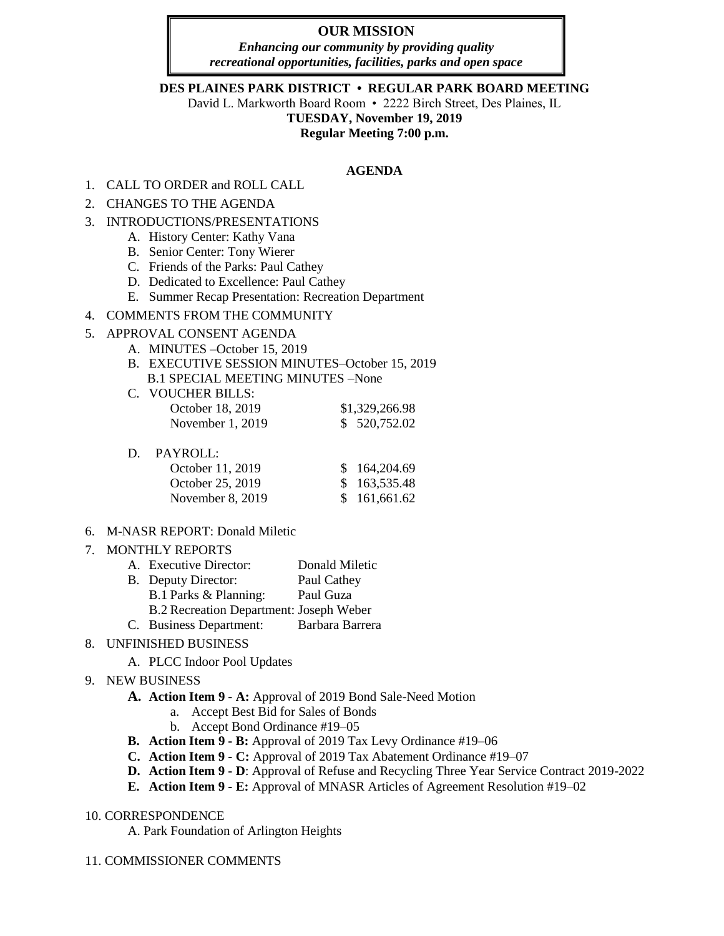# **OUR MISSION**

*Enhancing our community by providing quality recreational opportunities, facilities, parks and open space*

### **DES PLAINES PARK DISTRICT • REGULAR PARK BOARD MEETING**

David L. Markworth Board Room • 2222 Birch Street, Des Plaines, IL

**TUESDAY, November 19, 2019** 

**Regular Meeting 7:00 p.m.** 

### **AGENDA**

- 1. CALL TO ORDER and ROLL CALL
- 2. CHANGES TO THE AGENDA
- 3. INTRODUCTIONS/PRESENTATIONS
	- A. History Center: Kathy Vana
	- B. Senior Center: Tony Wierer
	- C. Friends of the Parks: Paul Cathey
	- D. Dedicated to Excellence: Paul Cathey
	- E. Summer Recap Presentation: Recreation Department
- 4. COMMENTS FROM THE COMMUNITY

### 5. APPROVAL CONSENT AGENDA

- A. MINUTES –October 15, 2019
- B. EXECUTIVE SESSION MINUTES–October 15, 2019 B.1 SPECIAL MEETING MINUTES –None

| C. VOUCHER BILLS:  |                |
|--------------------|----------------|
| October 18, 2019   | \$1,329,266.98 |
| November $1, 2019$ | \$ 520,752.02  |

D. PAYROLL:

| October 11, 2019   | \$164,204.69 |
|--------------------|--------------|
| October 25, 2019   | \$163,535.48 |
| November $8, 2019$ | \$161,661.62 |

- 6. M-NASR REPORT: Donald Miletic
- 7. MONTHLY REPORTS
	- A. Executive Director: Donald Miletic B. Deputy Director: Paul Cathey B.1 Parks & Planning: Paul Guza B.2 Recreation Department: Joseph Weber C. Business Department: Barbara Barrera

# 8. UNFINISHED BUSINESS

A. PLCC Indoor Pool Updates

# 9. NEW BUSINESS

- **A. Action Item 9 A:** Approval of 2019 Bond Sale-Need Motion
	- a. Accept Best Bid for Sales of Bonds
	- b. Accept Bond Ordinance #19–05
- **B. Action Item 9 B:** Approval of 2019 Tax Levy Ordinance #19–06
- **C. Action Item 9 C:** Approval of 2019 Tax Abatement Ordinance #19–07
- **D. Action Item 9 - D**: Approval of Refuse and Recycling Three Year Service Contract 2019-2022
- **E. Action Item 9 E:** Approval of MNASR Articles of Agreement Resolution #19–02

# 10. CORRESPONDENCE

A. Park Foundation of Arlington Heights

11. COMMISSIONER COMMENTS